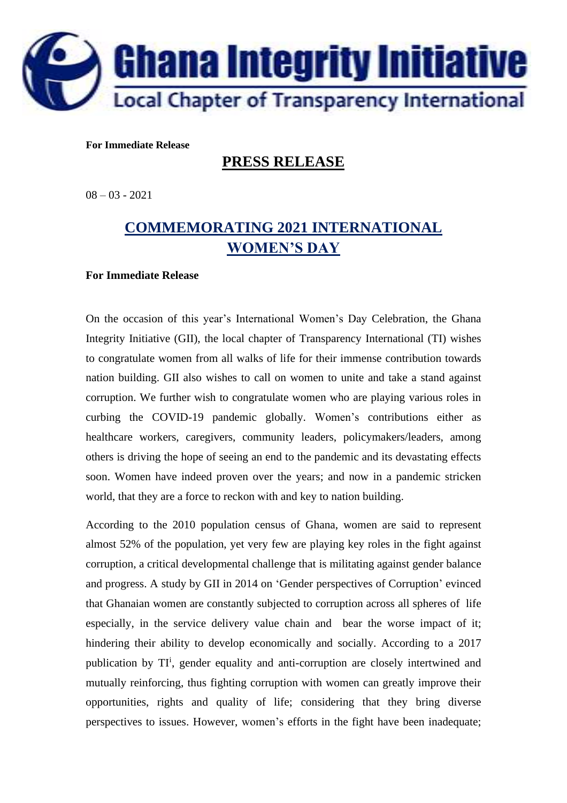

## **For Immediate Release**

## **PRESS RELEASE**

08 – 03 - 2021

## **COMMEMORATING 2021 INTERNATIONAL WOMEN'S DAY**

## **For Immediate Release**

On the occasion of this year's International Women's Day Celebration, the Ghana Integrity Initiative (GII), the local chapter of Transparency International (TI) wishes to congratulate women from all walks of life for their immense contribution towards nation building. GII also wishes to call on women to unite and take a stand against corruption. We further wish to congratulate women who are playing various roles in curbing the COVID-19 pandemic globally. Women's contributions either as healthcare workers, caregivers, community leaders, policymakers/leaders, among others is driving the hope of seeing an end to the pandemic and its devastating effects soon. Women have indeed proven over the years; and now in a pandemic stricken world, that they are a force to reckon with and key to nation building.

According to the 2010 population census of Ghana, women are said to represent almost 52% of the population, yet very few are playing key roles in the fight against corruption, a critical developmental challenge that is militating against gender balance and progress. A study by GII in 2014 on 'Gender perspectives of Corruption' evinced that Ghanaian women are constantly subjected to corruption across all spheres of life especially, in the service delivery value chain and bear the worse impact of it; hindering their ability to develop economically and socially. According to a 2017 publication by TI<sup>i</sup>, gender equality and anti-corruption are closely intertwined and mutually reinforcing, thus fighting corruption with women can greatly improve their opportunities, rights and quality of life; considering that they bring diverse perspectives to issues. However, women's efforts in the fight have been inadequate;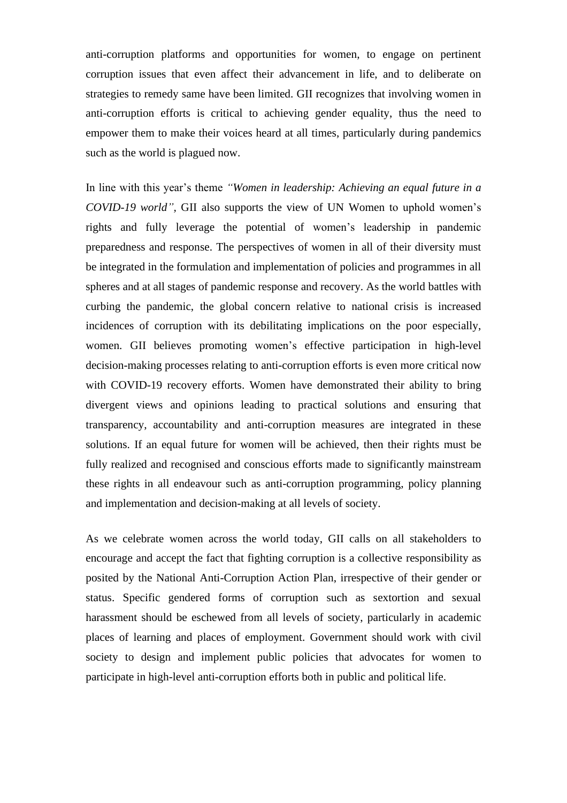anti-corruption platforms and opportunities for women, to engage on pertinent corruption issues that even affect their advancement in life, and to deliberate on strategies to remedy same have been limited. GII recognizes that involving women in anti-corruption efforts is critical to achieving gender equality, thus the need to empower them to make their voices heard at all times, particularly during pandemics such as the world is plagued now.

In line with this year's theme *"Women in leadership: Achieving an equal future in a COVID-19 world",* GII also supports the view of UN Women to uphold women's rights and fully leverage the potential of women's leadership in pandemic preparedness and response. The perspectives of women in all of their diversity must be integrated in the formulation and implementation of policies and programmes in all spheres and at all stages of pandemic response and recovery. As the world battles with curbing the pandemic, the global concern relative to national crisis is increased incidences of corruption with its debilitating implications on the poor especially, women. GII believes promoting women's effective participation in high-level decision-making processes relating to anti-corruption efforts is even more critical now with COVID-19 recovery efforts. Women have demonstrated their ability to bring divergent views and opinions leading to practical solutions and ensuring that transparency, accountability and anti-corruption measures are integrated in these solutions. If an equal future for women will be achieved, then their rights must be fully realized and recognised and conscious efforts made to significantly mainstream these rights in all endeavour such as anti-corruption programming, policy planning and implementation and decision-making at all levels of society.

As we celebrate women across the world today, GII calls on all stakeholders to encourage and accept the fact that fighting corruption is a collective responsibility as posited by the National Anti-Corruption Action Plan, irrespective of their gender or status. Specific gendered forms of corruption such as sextortion and sexual harassment should be eschewed from all levels of society, particularly in academic places of learning and places of employment. Government should work with civil society to design and implement public policies that advocates for women to participate in high-level anti-corruption efforts both in public and political life.